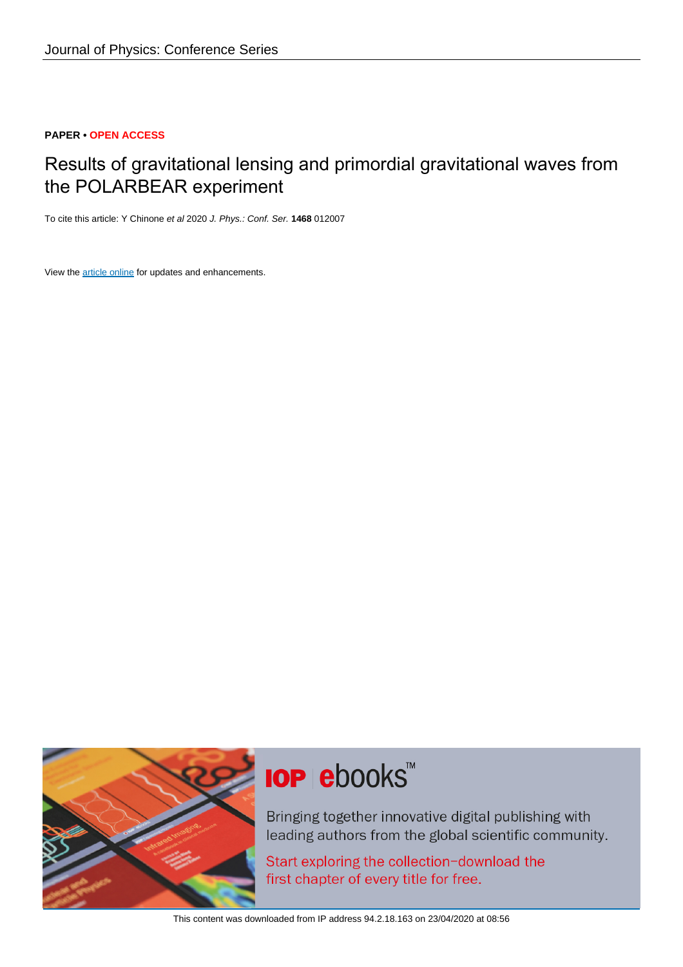## **PAPER • OPEN ACCESS**

# Results of gravitational lensing and primordial gravitational waves from the POLARBEAR experiment

To cite this article: Y Chinone et al 2020 J. Phys.: Conf. Ser. **1468** 012007

View the [article online](https://doi.org/10.1088/1742-6596/1468/1/012007) for updates and enhancements.



# **IOP ebooks**™

Bringing together innovative digital publishing with leading authors from the global scientific community.

Start exploring the collection-download the first chapter of every title for free.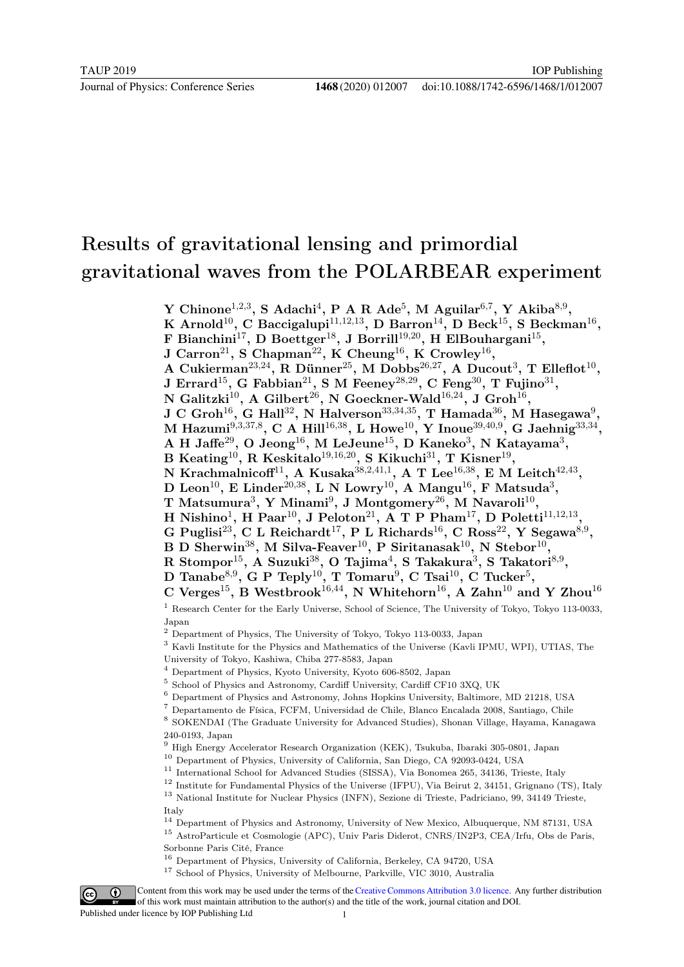# Results of gravitational lensing and primordial gravitational waves from the POLARBEAR experiment

Y Chinone<sup>1,2,3</sup>, S Adachi<sup>4</sup>, P A R Ade<sup>5</sup>, M Aguilar<sup>6,7</sup>, Y Akiba<sup>8,9</sup>,

K Arnold<sup>10</sup>, C Baccigalupi<sup>11,12,13</sup>, D Barron<sup>14</sup>, D Beck<sup>15</sup>, S Beckman<sup>16</sup>,

F Bianchini<sup>17</sup>, D Boettger<sup>18</sup>, J Borrill<sup>19,20</sup>, H ElBouhargani<sup>15</sup>,

J Carron<sup>21</sup>, S Chapman<sup>22</sup>, K Cheung<sup>16</sup>, K Crowley<sup>16</sup>,

A Cukierman<sup>23,24</sup>, R Dünner<sup>25</sup>, M Dobbs<sup>26,27</sup>, A Ducout<sup>3</sup>, T Elleflot<sup>10</sup>,

J Errard<sup>15</sup>, G Fabbian<sup>21</sup>, S M Feeney<sup>28,29</sup>, C Feng<sup>30</sup>, T Fujino<sup>31</sup>,

N Galitzki $^{10}$ , A Gilbert $^{26}$ , N Goeckner-Wald $^{16,24}$ , J Groh $^{16}$ ,

 $\rm J~C~Groh^{16},~G~Hall^{32},~N~Halverson^{33,34,35},~T~Hamada^{36},~M~Hasegawa^9,$ 

M Hazumi $^{9,3,37,8}$ , C A Hill $^{16,38}$ , L Howe $^{10}$ , Y Inoue $^{39,40,9}$ , G Jaehnig $^{33,34}$ ,

A H Jaffe $^{29}$ , O Jeong $^{16}$ , M LeJeune $^{15}$ , D Kaneko $^3$ , N Katayama $^3$ ,

B Keating<sup>10</sup>, R Keskitalo<sup>19,16,20</sup>, S Kikuchi<sup>31</sup>, T Kisner<sup>19</sup>,

N Krachmalnicoff<sup>11</sup>, A Kusaka<sup>38,2,41,1</sup>, A T Lee<sup>16,38</sup>, E M Leitch<sup>42,43</sup>,

D Leon<sup>10</sup>, E Linder<sup>20,38</sup>, L N Lowry<sup>10</sup>, A Mangu<sup>16</sup>, F Matsuda<sup>3</sup>,

T Matsumura<sup>3</sup>, Y Minami<sup>9</sup>, J Montgomery<sup>26</sup>, M Navaroli<sup>10</sup>,

H Nishino<sup>1</sup>, H Paar<sup>10</sup>, J Peloton<sup>21</sup>, A T P Pham<sup>17</sup>, D Poletti<sup>11,12,13</sup>,

G Puglisi<sup>23</sup>, C L Reichardt<sup>17</sup>, P L Richards<sup>16</sup>, C Ross<sup>22</sup>, Y Segawa<sup>8,9</sup>,

B D Sherwin<sup>38</sup>, M Silva-Feaver<sup>10</sup>, P Siritanasak<sup>10</sup>, N Stebor<sup>10</sup>,

R Stompor $^{15}$ , A Suzuki $^{38}$ , O Tajima $^{4}$ , S Takakura $^{3}$ , S Takatori $^{8,9}$ ,

D Tanabe<sup>8,9</sup>, G P Teply<sup>10</sup>, T Tomaru<sup>9</sup>, C Tsai<sup>10</sup>, C Tucker<sup>5</sup>,

C Verges<sup>15</sup>, B Westbrook<sup>16,44</sup>, N Whitehorn<sup>16</sup>, A Zahn<sup>10</sup> and Y Zhou<sup>16</sup>

<sup>1</sup> Research Center for the Early Universe, School of Science, The University of Tokyo, Tokyo 113-0033, Japan

- $2$  Department of Physics, The University of Tokyo, Tokyo 113-0033, Japan
- <sup>3</sup> Kavli Institute for the Physics and Mathematics of the Universe (Kavli IPMU, WPI), UTIAS, The

University of Tokyo, Kashiwa, Chiba 277-8583, Japan

<sup>4</sup> Department of Physics, Kyoto University, Kyoto 606-8502, Japan

5 School of Physics and Astronomy, Cardiff University, Cardiff CF10 3XQ, UK

<sup>6</sup> Department of Physics and Astronomy, Johns Hopkins University, Baltimore, MD 21218, USA

<sup>7</sup> Departamento de Física, FCFM, Universidad de Chile, Blanco Encalada 2008, Santiago, Chile

8 SOKENDAI (The Graduate University for Advanced Studies), Shonan Village, Hayama, Kanagawa 240-0193, Japan

<sup>9</sup> High Energy Accelerator Research Organization (KEK), Tsukuba, Ibaraki 305-0801, Japan

<sup>10</sup> Department of Physics, University of California, San Diego, CA 92093-0424, USA

 $^\mathrm{11}$  International School for Advanced Studies (SISSA), Via Bonomea 265, 34136, Trieste, Italy

<sup>12</sup> Institute for Fundamental Physics of the Universe (IFPU), Via Beirut 2, 34151, Grignano (TS), Italy

<sup>13</sup> National Institute for Nuclear Physics (INFN), Sezione di Trieste, Padriciano, 99, 34149 Trieste,

Italy

<sup>14</sup> Department of Physics and Astronomy, University of New Mexico, Albuquerque, NM 87131, USA

<sup>15</sup> AstroParticule et Cosmologie (APC), Univ Paris Diderot, CNRS/IN2P3, CEA/Irfu, Obs de Paris, Sorbonne Paris Cité, France

 $^{16}$  Department of Physics, University of California, Berkeley, CA 94720, USA





Content from this work may be used under the terms of theCreative Commons Attribution 3.0 licence. Any further distribution of this work must maintain attribution to the author(s) and the title of the work, journal citation and DOI.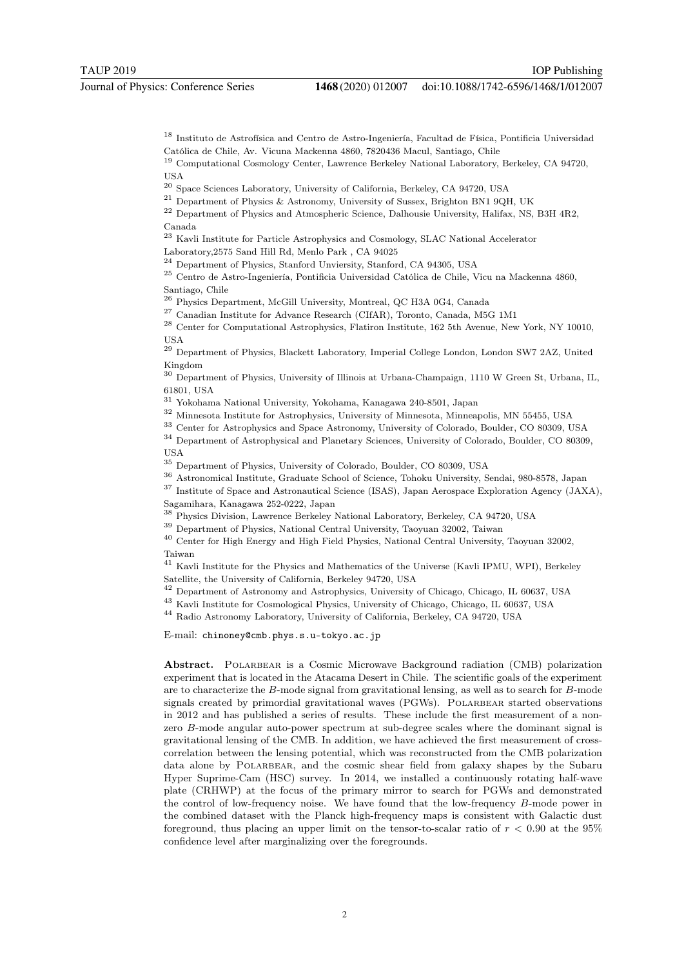<sup>18</sup> Instituto de Astrofísica and Centro de Astro-Ingeniería, Facultad de Física, Pontificia Universidad Católica de Chile, Av. Vicuna Mackenna 4860, 7820436 Macul, Santiago, Chile

<sup>19</sup> Computational Cosmology Center, Lawrence Berkeley National Laboratory, Berkeley, CA 94720, **IISA** 

<sup>20</sup> Space Sciences Laboratory, University of California, Berkeley, CA 94720, USA

<sup>21</sup> Department of Physics & Astronomy, University of Sussex, Brighton BN1 9QH, UK

<sup>22</sup> Department of Physics and Atmospheric Science, Dalhousie University, Halifax, NS, B3H 4R2, Canada

 $^{23}$  Kavli Institute for Particle Astrophysics and Cosmology, SLAC National Accelerator

Laboratory,2575 Sand Hill Rd, Menlo Park , CA 94025

 $^{24}$  Department of Physics, Stanford Unviersity, Stanford, CA 94305, USA

 $^{25}$  Centro de Astro-Ingeniería, Pontificia Universidad Católica de Chile, Vicu na Mackenna 4860,

Santiago, Chile

<sup>26</sup> Physics Department, McGill University, Montreal, QC H3A 0G4, Canada

 $^{27}$  Canadian Institute for Advance Research (CIfAR), Toronto, Canada, M5G 1M1

<sup>28</sup> Center for Computational Astrophysics, Flatiron Institute, 162 5th Avenue, New York, NY 10010, USA

<sup>29</sup> Department of Physics, Blackett Laboratory, Imperial College London, London SW7 2AZ, United Kingdom

<sup>30</sup> Department of Physics, University of Illinois at Urbana-Champaign, 1110 W Green St, Urbana, IL, 61801, USA

 $^{31}$  Yokohama National University, Yokohama, Kanagawa 240-8501, Japan

<sup>32</sup> Minnesota Institute for Astrophysics, University of Minnesota, Minneapolis, MN 55455, USA

<sup>33</sup> Center for Astrophysics and Space Astronomy, University of Colorado, Boulder, CO 80309, USA

<sup>34</sup> Department of Astrophysical and Planetary Sciences, University of Colorado, Boulder, CO 80309, **IISA** 

<sup>35</sup> Department of Physics, University of Colorado, Boulder, CO 80309, USA

<sup>36</sup> Astronomical Institute, Graduate School of Science, Tohoku University, Sendai, 980-8578, Japan

<sup>37</sup> Institute of Space and Astronautical Science (ISAS), Japan Aerospace Exploration Agency (JAXA), Sagamihara, Kanagawa 252-0222, Japan

<sup>38</sup> Physics Division, Lawrence Berkeley National Laboratory, Berkeley, CA 94720, USA

<sup>39</sup> Department of Physics, National Central University, Taoyuan 32002, Taiwan

<sup>40</sup> Center for High Energy and High Field Physics, National Central University, Taoyuan 32002, Taiwan

<sup>41</sup> Kavli Institute for the Physics and Mathematics of the Universe (Kavli IPMU, WPI), Berkeley Satellite, the University of California, Berkeley 94720, USA

<sup>42</sup> Department of Astronomy and Astrophysics, University of Chicago, Chicago, IL 60637, USA

<sup>43</sup> Kavli Institute for Cosmological Physics, University of Chicago, Chicago, IL 60637, USA

<sup>44</sup> Radio Astronomy Laboratory, University of California, Berkeley, CA 94720, USA

E-mail: chinoney@cmb.phys.s.u-tokyo.ac.jp

Abstract. POLARBEAR is a Cosmic Microwave Background radiation (CMB) polarization experiment that is located in the Atacama Desert in Chile. The scientific goals of the experiment are to characterize the B-mode signal from gravitational lensing, as well as to search for B-mode signals created by primordial gravitational waves (PGWs). POLARBEAR started observations in 2012 and has published a series of results. These include the first measurement of a nonzero B-mode angular auto-power spectrum at sub-degree scales where the dominant signal is gravitational lensing of the CMB. In addition, we have achieved the first measurement of crosscorrelation between the lensing potential, which was reconstructed from the CMB polarization data alone by POLARBEAR, and the cosmic shear field from galaxy shapes by the Subaru Hyper Suprime-Cam (HSC) survey. In 2014, we installed a continuously rotating half-wave plate (CRHWP) at the focus of the primary mirror to search for PGWs and demonstrated the control of low-frequency noise. We have found that the low-frequency B-mode power in the combined dataset with the Planck high-frequency maps is consistent with Galactic dust foreground, thus placing an upper limit on the tensor-to-scalar ratio of  $r < 0.90$  at the 95% confidence level after marginalizing over the foregrounds.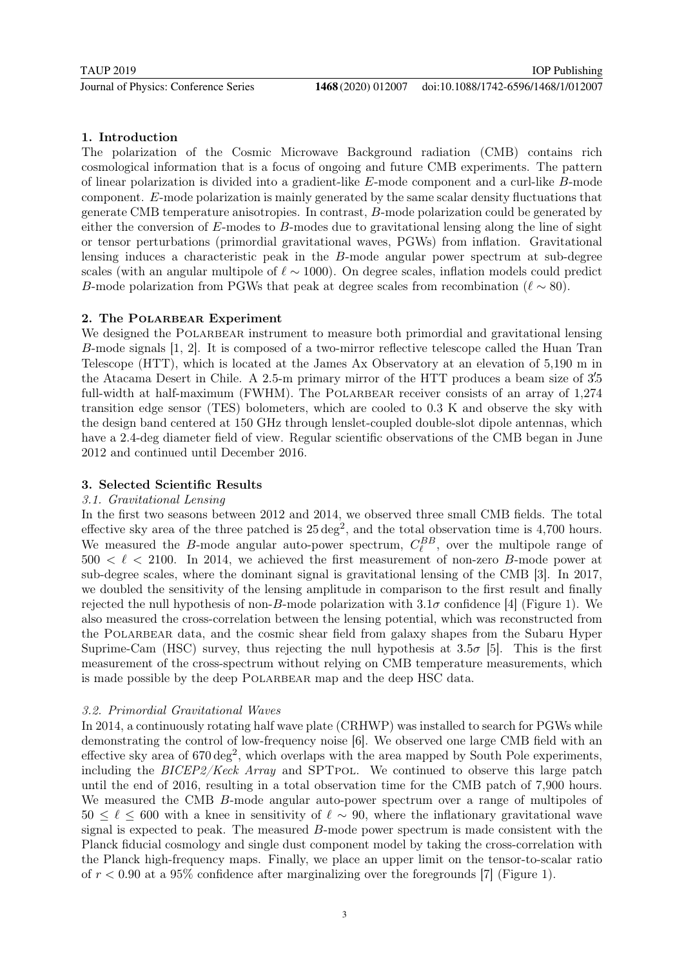## 1. Introduction

The polarization of the Cosmic Microwave Background radiation (CMB) contains rich cosmological information that is a focus of ongoing and future CMB experiments. The pattern of linear polarization is divided into a gradient-like E-mode component and a curl-like B-mode component. E-mode polarization is mainly generated by the same scalar density fluctuations that generate CMB temperature anisotropies. In contrast, B-mode polarization could be generated by either the conversion of  $E$ -modes to  $B$ -modes due to gravitational lensing along the line of sight or tensor perturbations (primordial gravitational waves, PGWs) from inflation. Gravitational lensing induces a characteristic peak in the B-mode angular power spectrum at sub-degree scales (with an angular multipole of  $\ell \sim 1000$ ). On degree scales, inflation models could predict B-mode polarization from PGWs that peak at degree scales from recombination ( $\ell \sim 80$ ).

#### 2. The POLARBEAR Experiment

We designed the POLARBEAR instrument to measure both primordial and gravitational lensing B-mode signals [1, 2]. It is composed of a two-mirror reflective telescope called the Huan Tran Telescope (HTT), which is located at the James Ax Observatory at an elevation of 5,190 m in the Atacama Desert in Chile. A 2.5-m primary mirror of the HTT produces a beam size of 3'.5 full-width at half-maximum (FWHM). The POLARBEAR receiver consists of an array of 1,274 transition edge sensor (TES) bolometers, which are cooled to 0.3 K and observe the sky with the design band centered at 150 GHz through lenslet-coupled double-slot dipole antennas, which have a 2.4-deg diameter field of view. Regular scientific observations of the CMB began in June 2012 and continued until December 2016.

### 3. Selected Scientific Results

#### 3.1. Gravitational Lensing

In the first two seasons between 2012 and 2014, we observed three small CMB fields. The total effective sky area of the three patched is  $25 \text{ deg}^2$ , and the total observation time is 4,700 hours. We measured the B-mode angular auto-power spectrum,  $C_{\ell}^{BB}$ , over the multipole range of  $500 < \ell < 2100$ . In 2014, we achieved the first measurement of non-zero B-mode power at sub-degree scales, where the dominant signal is gravitational lensing of the CMB [3]. In 2017, we doubled the sensitivity of the lensing amplitude in comparison to the first result and finally rejected the null hypothesis of non-B-mode polarization with  $3.1\sigma$  confidence [4] (Figure 1). We also measured the cross-correlation between the lensing potential, which was reconstructed from the POLARBEAR data, and the cosmic shear field from galaxy shapes from the Subaru Hyper Suprime-Cam (HSC) survey, thus rejecting the null hypothesis at  $3.5\sigma$  [5]. This is the first measurement of the cross-spectrum without relying on CMB temperature measurements, which is made possible by the deep POLARBEAR map and the deep HSC data.

#### 3.2. Primordial Gravitational Waves

In 2014, a continuously rotating half wave plate (CRHWP) was installed to search for PGWs while demonstrating the control of low-frequency noise [6]. We observed one large CMB field with an effective sky area of  $670 \text{ deg}^2$ , which overlaps with the area mapped by South Pole experiments, including the  $BICEP2/Keck$  Array and SPTPOL. We continued to observe this large patch until the end of 2016, resulting in a total observation time for the CMB patch of 7,900 hours. We measured the CMB B-mode angular auto-power spectrum over a range of multipoles of  $50 \le \ell \le 600$  with a knee in sensitivity of  $\ell \sim 90$ , where the inflationary gravitational wave signal is expected to peak. The measured B-mode power spectrum is made consistent with the Planck fiducial cosmology and single dust component model by taking the cross-correlation with the Planck high-frequency maps. Finally, we place an upper limit on the tensor-to-scalar ratio of  $r < 0.90$  at a 95% confidence after marginalizing over the foregrounds [7] (Figure 1).